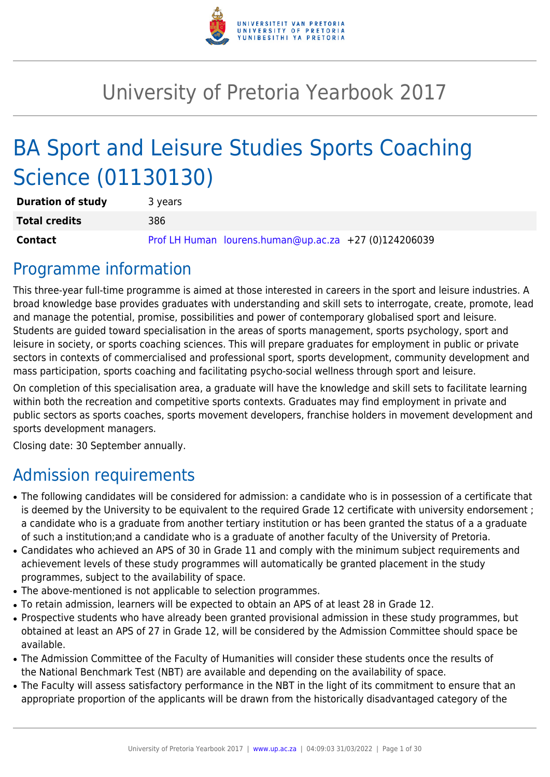

# University of Pretoria Yearbook 2017

# BA Sport and Leisure Studies Sports Coaching Science (01130130)

| <b>Duration of study</b> | 3 years |                                                       |  |
|--------------------------|---------|-------------------------------------------------------|--|
| <b>Total credits</b>     | 386     |                                                       |  |
| <b>Contact</b>           |         | Prof LH Human lourens.human@up.ac.za +27 (0)124206039 |  |

# Programme information

This three-year full-time programme is aimed at those interested in careers in the sport and leisure industries. A broad knowledge base provides graduates with understanding and skill sets to interrogate, create, promote, lead and manage the potential, promise, possibilities and power of contemporary globalised sport and leisure. Students are guided toward specialisation in the areas of sports management, sports psychology, sport and leisure in society, or sports coaching sciences. This will prepare graduates for employment in public or private sectors in contexts of commercialised and professional sport, sports development, community development and mass participation, sports coaching and facilitating psycho-social wellness through sport and leisure.

On completion of this specialisation area, a graduate will have the knowledge and skill sets to facilitate learning within both the recreation and competitive sports contexts. Graduates may find employment in private and public sectors as sports coaches, sports movement developers, franchise holders in movement development and sports development managers.

Closing date: 30 September annually.

# Admission requirements

- The following candidates will be considered for admission: a candidate who is in possession of a certificate that is deemed by the University to be equivalent to the required Grade 12 certificate with university endorsement ; a candidate who is a graduate from another tertiary institution or has been granted the status of a a graduate of such a institution;and a candidate who is a graduate of another faculty of the University of Pretoria.
- Candidates who achieved an APS of 30 in Grade 11 and comply with the minimum subject requirements and achievement levels of these study programmes will automatically be granted placement in the study programmes, subject to the availability of space.
- The above-mentioned is not applicable to selection programmes.
- To retain admission, learners will be expected to obtain an APS of at least 28 in Grade 12.
- Prospective students who have already been granted provisional admission in these study programmes, but obtained at least an APS of 27 in Grade 12, will be considered by the Admission Committee should space be available.
- The Admission Committee of the Faculty of Humanities will consider these students once the results of the National Benchmark Test (NBT) are available and depending on the availability of space.
- The Faculty will assess satisfactory performance in the NBT in the light of its commitment to ensure that an appropriate proportion of the applicants will be drawn from the historically disadvantaged category of the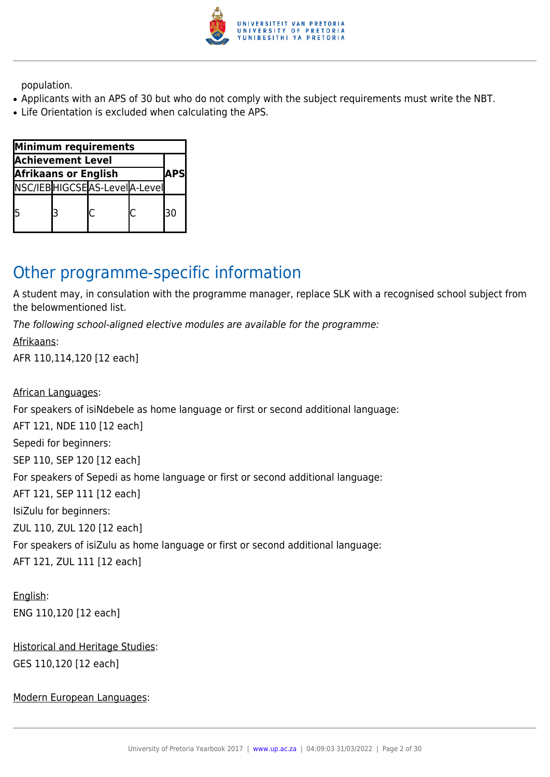

population.

- Applicants with an APS of 30 but who do not comply with the subject requirements must write the NBT.
- Life Orientation is excluded when calculating the APS.

| Minimum requirements        |  |                              |            |     |
|-----------------------------|--|------------------------------|------------|-----|
| <b>Achievement Level</b>    |  |                              |            |     |
| <b>Afrikaans or English</b> |  |                              | <b>APS</b> |     |
|                             |  | NSC/IEBHIGCSEAS-LevelA-Level |            |     |
|                             |  |                              |            | l30 |

# Other programme-specific information

A student may, in consulation with the programme manager, replace SLK with a recognised school subject from the belowmentioned list.

The following school-aligned elective modules are available for the programme:

Afrikaans: AFR 110,114,120 [12 each]

African Languages:

For speakers of isiNdebele as home language or first or second additional language:

AFT 121, NDE 110 [12 each]

Sepedi for beginners:

SEP 110, SEP 120 [12 each]

For speakers of Sepedi as home language or first or second additional language:

AFT 121, SEP 111 [12 each]

IsiZulu for beginners:

ZUL 110, ZUL 120 [12 each]

For speakers of isiZulu as home language or first or second additional language:

AFT 121, ZUL 111 [12 each]

English: ENG 110,120 [12 each]

Historical and Heritage Studies: GES 110,120 [12 each]

Modern European Languages: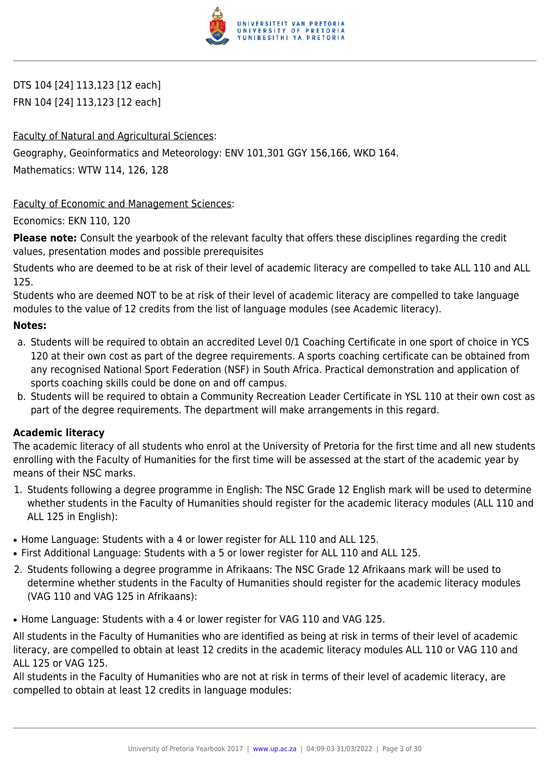

DTS 104 [24] 113,123 [12 each] FRN 104 [24] 113,123 [12 each]

# Faculty of Natural and Agricultural Sciences:

Geography, Geoinformatics and Meteorology: ENV 101,301 GGY 156,166, WKD 164.

Mathematics: WTW 114, 126, 128

Faculty of Economic and Management Sciences:

Economics: EKN 110, 120

**Please note:** Consult the yearbook of the relevant faculty that offers these disciplines regarding the credit values, presentation modes and possible prerequisites

Students who are deemed to be at risk of their level of academic literacy are compelled to take ALL 110 and ALL 125.

Students who are deemed NOT to be at risk of their level of academic literacy are compelled to take language modules to the value of 12 credits from the list of language modules (see Academic literacy).

# **Notes:**

- a. Students will be required to obtain an accredited Level 0/1 Coaching Certificate in one sport of choice in YCS 120 at their own cost as part of the degree requirements. A sports coaching certificate can be obtained from any recognised National Sport Federation (NSF) in South Africa. Practical demonstration and application of sports coaching skills could be done on and off campus.
- b. Students will be required to obtain a Community Recreation Leader Certificate in YSL 110 at their own cost as part of the degree requirements. The department will make arrangements in this regard.

# **Academic literacy**

The academic literacy of all students who enrol at the University of Pretoria for the first time and all new students enrolling with the Faculty of Humanities for the first time will be assessed at the start of the academic year by means of their NSC marks.

- 1. Students following a degree programme in English: The NSC Grade 12 English mark will be used to determine whether students in the Faculty of Humanities should register for the academic literacy modules (ALL 110 and ALL 125 in English):
- Home Language: Students with a 4 or lower register for ALL 110 and ALL 125.
- First Additional Language: Students with a 5 or lower register for ALL 110 and ALL 125.
- 2. Students following a degree programme in Afrikaans: The NSC Grade 12 Afrikaans mark will be used to determine whether students in the Faculty of Humanities should register for the academic literacy modules (VAG 110 and VAG 125 in Afrikaans):
- Home Language: Students with a 4 or lower register for VAG 110 and VAG 125.

All students in the Faculty of Humanities who are identified as being at risk in terms of their level of academic literacy, are compelled to obtain at least 12 credits in the academic literacy modules ALL 110 or VAG 110 and ALL 125 or VAG 125.

All students in the Faculty of Humanities who are not at risk in terms of their level of academic literacy, are compelled to obtain at least 12 credits in language modules: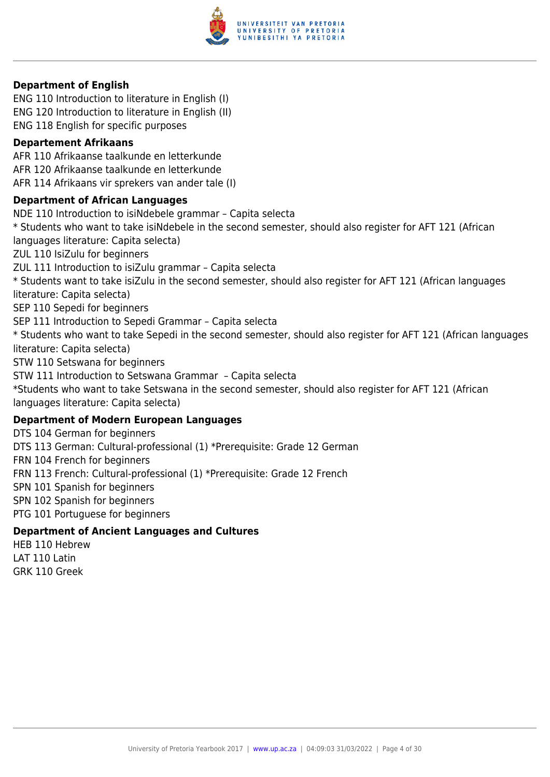

#### **Department of English**

ENG 110 Introduction to literature in English (I) ENG 120 Introduction to literature in English (II) ENG 118 English for specific purposes

#### **Departement Afrikaans**

AFR 110 Afrikaanse taalkunde en letterkunde AFR 120 Afrikaanse taalkunde en letterkunde AFR 114 Afrikaans vir sprekers van ander tale (I)

#### **Department of African Languages**

NDE 110 Introduction to isiNdebele grammar – Capita selecta \* Students who want to take isiNdebele in the second semester, should also register for AFT 121 (African languages literature: Capita selecta) ZUL 110 IsiZulu for beginners ZUL 111 Introduction to isiZulu grammar – Capita selecta \* Students want to take isiZulu in the second semester, should also register for AFT 121 (African languages literature: Capita selecta) SEP 110 Sepedi for beginners SEP 111 Introduction to Sepedi Grammar – Capita selecta \* Students who want to take Sepedi in the second semester, should also register for AFT 121 (African languages literature: Capita selecta) STW 110 Setswana for beginners STW 111 Introduction to Setswana Grammar – Capita selecta \*Students who want to take Setswana in the second semester, should also register for AFT 121 (African languages literature: Capita selecta) **Department of Modern European Languages** DTS 104 German for beginners DTS 113 German: Cultural-professional (1) \*Prerequisite: Grade 12 German FRN 104 French for beginners FRN 113 French: Cultural-professional (1) \*Prerequisite: Grade 12 French

SPN 101 Spanish for beginners

SPN 102 Spanish for beginners

PTG 101 Portuguese for beginners

#### **Department of Ancient Languages and Cultures**

HEB 110 Hebrew LAT 110 Latin GRK 110 Greek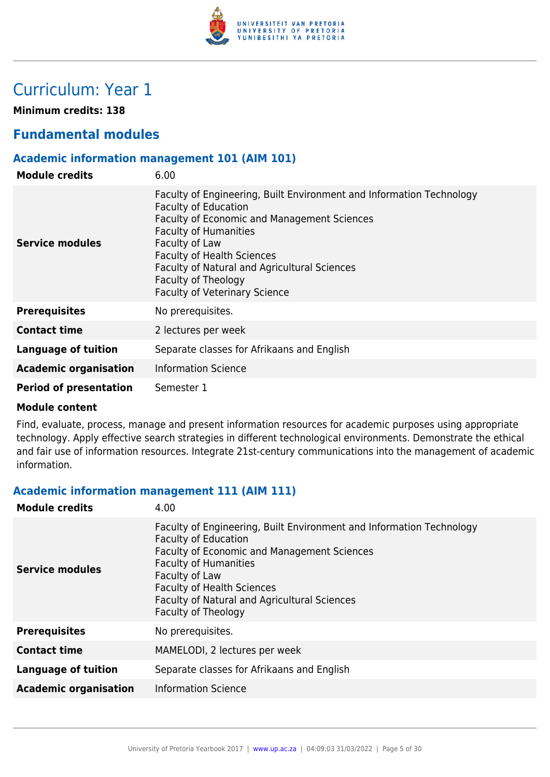

# Curriculum: Year 1

**Minimum credits: 138**

# **Fundamental modules**

# **Academic information management 101 (AIM 101)**

| <b>Module credits</b>         | 6.00                                                                                                                                                                                                                                                                                                                                                            |
|-------------------------------|-----------------------------------------------------------------------------------------------------------------------------------------------------------------------------------------------------------------------------------------------------------------------------------------------------------------------------------------------------------------|
| Service modules               | Faculty of Engineering, Built Environment and Information Technology<br><b>Faculty of Education</b><br><b>Faculty of Economic and Management Sciences</b><br><b>Faculty of Humanities</b><br>Faculty of Law<br><b>Faculty of Health Sciences</b><br>Faculty of Natural and Agricultural Sciences<br>Faculty of Theology<br><b>Faculty of Veterinary Science</b> |
| <b>Prerequisites</b>          | No prerequisites.                                                                                                                                                                                                                                                                                                                                               |
| <b>Contact time</b>           | 2 lectures per week                                                                                                                                                                                                                                                                                                                                             |
| Language of tuition           | Separate classes for Afrikaans and English                                                                                                                                                                                                                                                                                                                      |
| <b>Academic organisation</b>  | <b>Information Science</b>                                                                                                                                                                                                                                                                                                                                      |
| <b>Period of presentation</b> | Semester 1                                                                                                                                                                                                                                                                                                                                                      |

#### **Module content**

Find, evaluate, process, manage and present information resources for academic purposes using appropriate technology. Apply effective search strategies in different technological environments. Demonstrate the ethical and fair use of information resources. Integrate 21st-century communications into the management of academic information.

#### **Academic information management 111 (AIM 111)**

| Faculty of Engineering, Built Environment and Information Technology<br><b>Faculty of Education</b><br><b>Faculty of Economic and Management Sciences</b><br><b>Faculty of Humanities</b><br><b>Service modules</b><br>Faculty of Law<br><b>Faculty of Health Sciences</b><br>Faculty of Natural and Agricultural Sciences<br>Faculty of Theology<br><b>Prerequisites</b><br>No prerequisites.<br><b>Contact time</b><br>MAMELODI, 2 lectures per week<br><b>Language of tuition</b><br>Separate classes for Afrikaans and English<br><b>Information Science</b><br><b>Academic organisation</b> | <b>Module credits</b> | 4.00 |
|--------------------------------------------------------------------------------------------------------------------------------------------------------------------------------------------------------------------------------------------------------------------------------------------------------------------------------------------------------------------------------------------------------------------------------------------------------------------------------------------------------------------------------------------------------------------------------------------------|-----------------------|------|
|                                                                                                                                                                                                                                                                                                                                                                                                                                                                                                                                                                                                  |                       |      |
|                                                                                                                                                                                                                                                                                                                                                                                                                                                                                                                                                                                                  |                       |      |
|                                                                                                                                                                                                                                                                                                                                                                                                                                                                                                                                                                                                  |                       |      |
|                                                                                                                                                                                                                                                                                                                                                                                                                                                                                                                                                                                                  |                       |      |
|                                                                                                                                                                                                                                                                                                                                                                                                                                                                                                                                                                                                  |                       |      |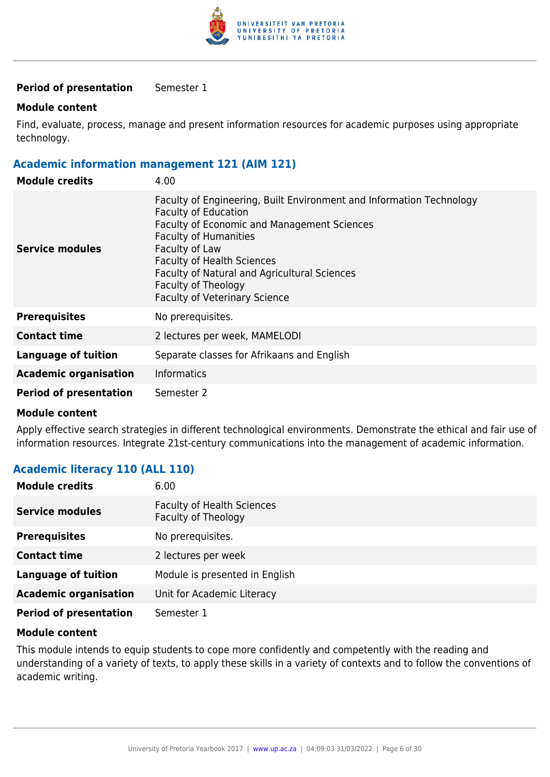

#### **Period of presentation** Semester 1

#### **Module content**

Find, evaluate, process, manage and present information resources for academic purposes using appropriate technology.

#### **Academic information management 121 (AIM 121)**

| <b>Module credits</b>         | 4.00                                                                                                                                                                                                                                                                                                                                                            |
|-------------------------------|-----------------------------------------------------------------------------------------------------------------------------------------------------------------------------------------------------------------------------------------------------------------------------------------------------------------------------------------------------------------|
| Service modules               | Faculty of Engineering, Built Environment and Information Technology<br><b>Faculty of Education</b><br><b>Faculty of Economic and Management Sciences</b><br><b>Faculty of Humanities</b><br>Faculty of Law<br><b>Faculty of Health Sciences</b><br>Faculty of Natural and Agricultural Sciences<br>Faculty of Theology<br><b>Faculty of Veterinary Science</b> |
| <b>Prerequisites</b>          | No prerequisites.                                                                                                                                                                                                                                                                                                                                               |
| <b>Contact time</b>           | 2 lectures per week, MAMELODI                                                                                                                                                                                                                                                                                                                                   |
| <b>Language of tuition</b>    | Separate classes for Afrikaans and English                                                                                                                                                                                                                                                                                                                      |
| <b>Academic organisation</b>  | <b>Informatics</b>                                                                                                                                                                                                                                                                                                                                              |
| <b>Period of presentation</b> | Semester 2                                                                                                                                                                                                                                                                                                                                                      |

#### **Module content**

Apply effective search strategies in different technological environments. Demonstrate the ethical and fair use of information resources. Integrate 21st-century communications into the management of academic information.

# **Academic literacy 110 (ALL 110)**

| <b>Module credits</b>         | 6.00                                                     |
|-------------------------------|----------------------------------------------------------|
| <b>Service modules</b>        | <b>Faculty of Health Sciences</b><br>Faculty of Theology |
| <b>Prerequisites</b>          | No prerequisites.                                        |
| <b>Contact time</b>           | 2 lectures per week                                      |
| <b>Language of tuition</b>    | Module is presented in English                           |
| <b>Academic organisation</b>  | Unit for Academic Literacy                               |
| <b>Period of presentation</b> | Semester 1                                               |

#### **Module content**

This module intends to equip students to cope more confidently and competently with the reading and understanding of a variety of texts, to apply these skills in a variety of contexts and to follow the conventions of academic writing.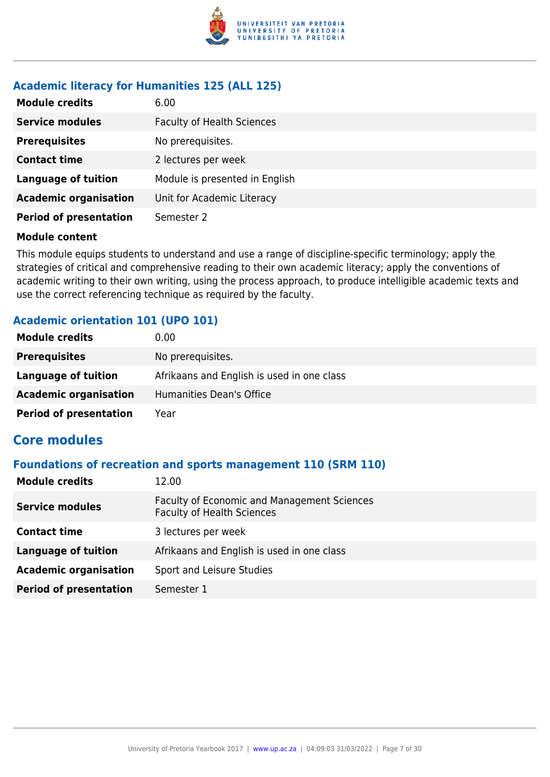

# **Academic literacy for Humanities 125 (ALL 125)**

| <b>Module credits</b>         | 6.00                              |
|-------------------------------|-----------------------------------|
| <b>Service modules</b>        | <b>Faculty of Health Sciences</b> |
| <b>Prerequisites</b>          | No prerequisites.                 |
| <b>Contact time</b>           | 2 lectures per week               |
| <b>Language of tuition</b>    | Module is presented in English    |
| <b>Academic organisation</b>  | Unit for Academic Literacy        |
| <b>Period of presentation</b> | Semester 2                        |

#### **Module content**

This module equips students to understand and use a range of discipline-specific terminology; apply the strategies of critical and comprehensive reading to their own academic literacy; apply the conventions of academic writing to their own writing, using the process approach, to produce intelligible academic texts and use the correct referencing technique as required by the faculty.

# **Academic orientation 101 (UPO 101)**

| <b>Module credits</b>         | 0.00                                       |
|-------------------------------|--------------------------------------------|
| <b>Prerequisites</b>          | No prerequisites.                          |
| Language of tuition           | Afrikaans and English is used in one class |
| <b>Academic organisation</b>  | Humanities Dean's Office                   |
| <b>Period of presentation</b> | Year                                       |

# **Core modules**

#### **Foundations of recreation and sports management 110 (SRM 110)**

| <b>Module credits</b>         | 12.00                                                                            |
|-------------------------------|----------------------------------------------------------------------------------|
| <b>Service modules</b>        | Faculty of Economic and Management Sciences<br><b>Faculty of Health Sciences</b> |
| <b>Contact time</b>           | 3 lectures per week                                                              |
| <b>Language of tuition</b>    | Afrikaans and English is used in one class                                       |
| <b>Academic organisation</b>  | Sport and Leisure Studies                                                        |
| <b>Period of presentation</b> | Semester 1                                                                       |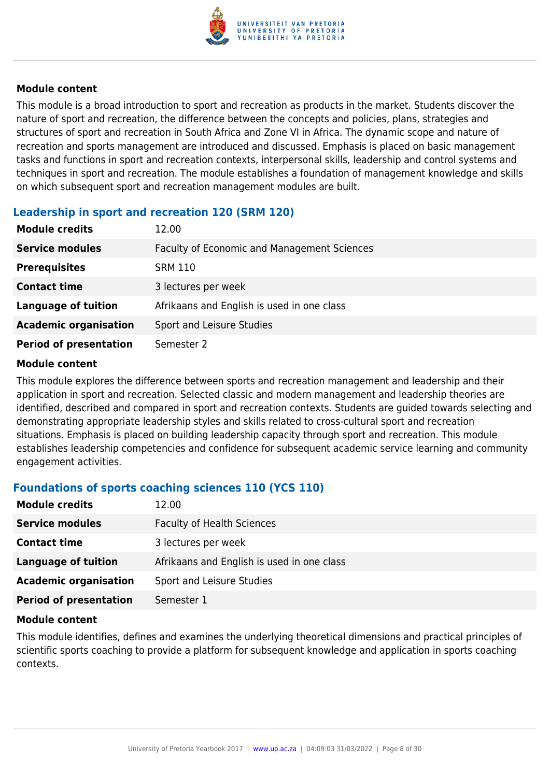

This module is a broad introduction to sport and recreation as products in the market. Students discover the nature of sport and recreation, the difference between the concepts and policies, plans, strategies and structures of sport and recreation in South Africa and Zone VI in Africa. The dynamic scope and nature of recreation and sports management are introduced and discussed. Emphasis is placed on basic management tasks and functions in sport and recreation contexts, interpersonal skills, leadership and control systems and techniques in sport and recreation. The module establishes a foundation of management knowledge and skills on which subsequent sport and recreation management modules are built.

# **Leadership in sport and recreation 120 (SRM 120)**

| <b>Module credits</b>         | 12.00                                       |
|-------------------------------|---------------------------------------------|
| <b>Service modules</b>        | Faculty of Economic and Management Sciences |
| <b>Prerequisites</b>          | <b>SRM 110</b>                              |
| <b>Contact time</b>           | 3 lectures per week                         |
| <b>Language of tuition</b>    | Afrikaans and English is used in one class  |
| <b>Academic organisation</b>  | Sport and Leisure Studies                   |
| <b>Period of presentation</b> | Semester 2                                  |

#### **Module content**

This module explores the difference between sports and recreation management and leadership and their application in sport and recreation. Selected classic and modern management and leadership theories are identified, described and compared in sport and recreation contexts. Students are guided towards selecting and demonstrating appropriate leadership styles and skills related to cross-cultural sport and recreation situations. Emphasis is placed on building leadership capacity through sport and recreation. This module establishes leadership competencies and confidence for subsequent academic service learning and community engagement activities.

# **Foundations of sports coaching sciences 110 (YCS 110)**

| <b>Module credits</b>         | 12.00                                      |
|-------------------------------|--------------------------------------------|
| <b>Service modules</b>        | <b>Faculty of Health Sciences</b>          |
| <b>Contact time</b>           | 3 lectures per week                        |
| Language of tuition           | Afrikaans and English is used in one class |
| <b>Academic organisation</b>  | Sport and Leisure Studies                  |
| <b>Period of presentation</b> | Semester 1                                 |

#### **Module content**

This module identifies, defines and examines the underlying theoretical dimensions and practical principles of scientific sports coaching to provide a platform for subsequent knowledge and application in sports coaching contexts.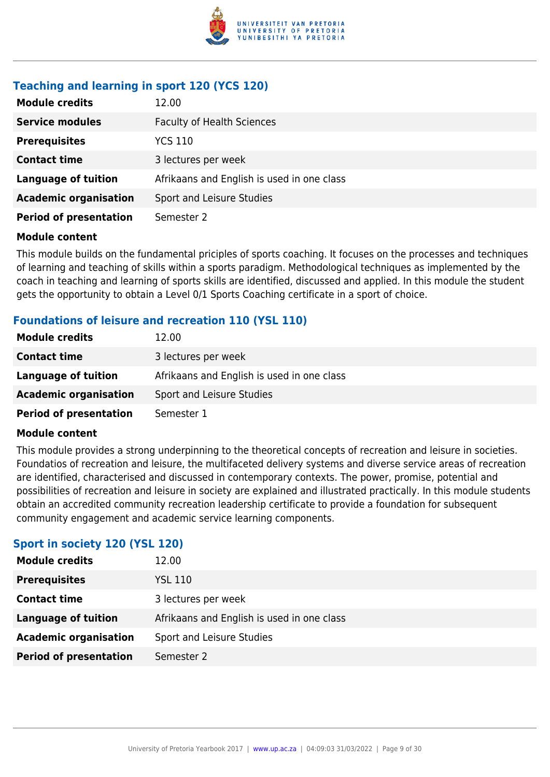

# **Teaching and learning in sport 120 (YCS 120)**

| <b>Module credits</b>         | 12.00                                      |
|-------------------------------|--------------------------------------------|
| <b>Service modules</b>        | <b>Faculty of Health Sciences</b>          |
| <b>Prerequisites</b>          | YCS 110                                    |
| <b>Contact time</b>           | 3 lectures per week                        |
| <b>Language of tuition</b>    | Afrikaans and English is used in one class |
| <b>Academic organisation</b>  | Sport and Leisure Studies                  |
| <b>Period of presentation</b> | Semester 2                                 |

#### **Module content**

This module builds on the fundamental priciples of sports coaching. It focuses on the processes and techniques of learning and teaching of skills within a sports paradigm. Methodological techniques as implemented by the coach in teaching and learning of sports skills are identified, discussed and applied. In this module the student gets the opportunity to obtain a Level 0/1 Sports Coaching certificate in a sport of choice.

# **Foundations of leisure and recreation 110 (YSL 110)**

| <b>Module credits</b>         | 12.00                                      |
|-------------------------------|--------------------------------------------|
| <b>Contact time</b>           | 3 lectures per week                        |
| Language of tuition           | Afrikaans and English is used in one class |
| <b>Academic organisation</b>  | Sport and Leisure Studies                  |
| <b>Period of presentation</b> | Semester 1                                 |

#### **Module content**

This module provides a strong underpinning to the theoretical concepts of recreation and leisure in societies. Foundatios of recreation and leisure, the multifaceted delivery systems and diverse service areas of recreation are identified, characterised and discussed in contemporary contexts. The power, promise, potential and possibilities of recreation and leisure in society are explained and illustrated practically. In this module students obtain an accredited community recreation leadership certificate to provide a foundation for subsequent community engagement and academic service learning components.

# **Sport in society 120 (YSL 120)**

| <b>Module credits</b>         | 12.00                                      |
|-------------------------------|--------------------------------------------|
| <b>Prerequisites</b>          | <b>YSL 110</b>                             |
| <b>Contact time</b>           | 3 lectures per week                        |
| Language of tuition           | Afrikaans and English is used in one class |
| <b>Academic organisation</b>  | Sport and Leisure Studies                  |
| <b>Period of presentation</b> | Semester 2                                 |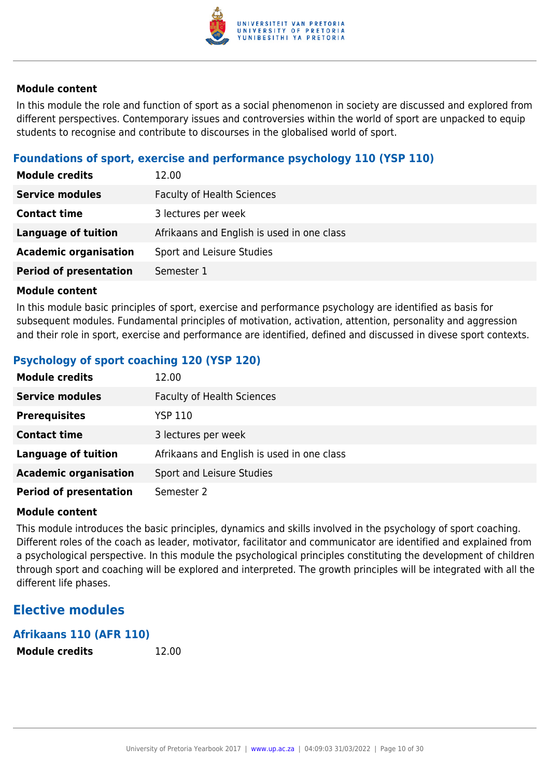

In this module the role and function of sport as a social phenomenon in society are discussed and explored from different perspectives. Contemporary issues and controversies within the world of sport are unpacked to equip students to recognise and contribute to discourses in the globalised world of sport.

# **Foundations of sport, exercise and performance psychology 110 (YSP 110)**

| <b>Module credits</b>         | 12.00                                      |
|-------------------------------|--------------------------------------------|
| <b>Service modules</b>        | <b>Faculty of Health Sciences</b>          |
| <b>Contact time</b>           | 3 lectures per week                        |
| <b>Language of tuition</b>    | Afrikaans and English is used in one class |
| <b>Academic organisation</b>  | Sport and Leisure Studies                  |
| <b>Period of presentation</b> | Semester 1                                 |

#### **Module content**

In this module basic principles of sport, exercise and performance psychology are identified as basis for subsequent modules. Fundamental principles of motivation, activation, attention, personality and aggression and their role in sport, exercise and performance are identified, defined and discussed in divese sport contexts.

# **Psychology of sport coaching 120 (YSP 120)**

| <b>Module credits</b>         | 12.00                                      |
|-------------------------------|--------------------------------------------|
| <b>Service modules</b>        | <b>Faculty of Health Sciences</b>          |
| <b>Prerequisites</b>          | YSP 110                                    |
| <b>Contact time</b>           | 3 lectures per week                        |
| <b>Language of tuition</b>    | Afrikaans and English is used in one class |
| <b>Academic organisation</b>  | Sport and Leisure Studies                  |
| <b>Period of presentation</b> | Semester 2                                 |

#### **Module content**

This module introduces the basic principles, dynamics and skills involved in the psychology of sport coaching. Different roles of the coach as leader, motivator, facilitator and communicator are identified and explained from a psychological perspective. In this module the psychological principles constituting the development of children through sport and coaching will be explored and interpreted. The growth principles will be integrated with all the different life phases.

# **Elective modules**

# **Afrikaans 110 (AFR 110) Module credits** 12.00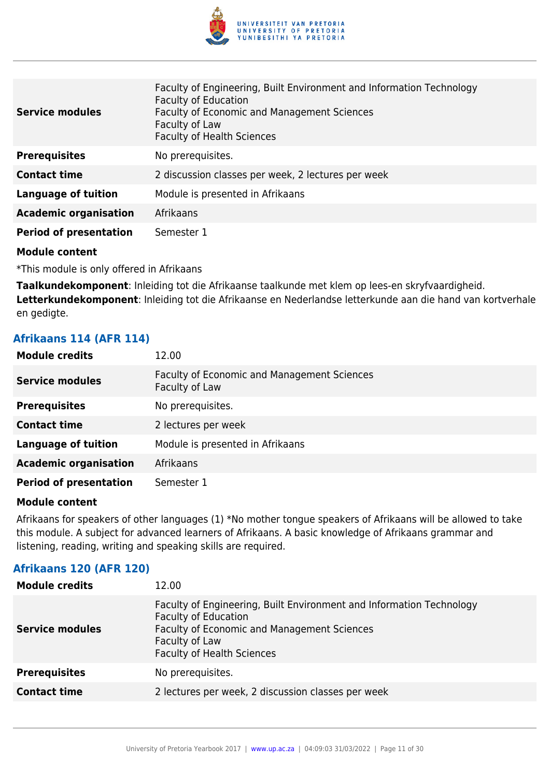

| <b>Service modules</b>        | Faculty of Engineering, Built Environment and Information Technology<br><b>Faculty of Education</b><br><b>Faculty of Economic and Management Sciences</b><br>Faculty of Law<br><b>Faculty of Health Sciences</b> |
|-------------------------------|------------------------------------------------------------------------------------------------------------------------------------------------------------------------------------------------------------------|
| <b>Prerequisites</b>          | No prerequisites.                                                                                                                                                                                                |
| <b>Contact time</b>           | 2 discussion classes per week, 2 lectures per week                                                                                                                                                               |
| <b>Language of tuition</b>    | Module is presented in Afrikaans                                                                                                                                                                                 |
| <b>Academic organisation</b>  | Afrikaans                                                                                                                                                                                                        |
| <b>Period of presentation</b> | Semester 1                                                                                                                                                                                                       |

\*This module is only offered in Afrikaans

**Taalkundekomponent**: Inleiding tot die Afrikaanse taalkunde met klem op lees-en skryfvaardigheid.

**Letterkundekomponent**: Inleiding tot die Afrikaanse en Nederlandse letterkunde aan die hand van kortverhale en gedigte.

# **Afrikaans 114 (AFR 114)**

| <b>Module credits</b>         | 12.00                                                                |
|-------------------------------|----------------------------------------------------------------------|
| <b>Service modules</b>        | <b>Faculty of Economic and Management Sciences</b><br>Faculty of Law |
| <b>Prerequisites</b>          | No prerequisites.                                                    |
| <b>Contact time</b>           | 2 lectures per week                                                  |
| <b>Language of tuition</b>    | Module is presented in Afrikaans                                     |
| <b>Academic organisation</b>  | Afrikaans                                                            |
| <b>Period of presentation</b> | Semester 1                                                           |

#### **Module content**

Afrikaans for speakers of other languages (1) \*No mother tongue speakers of Afrikaans will be allowed to take this module. A subject for advanced learners of Afrikaans. A basic knowledge of Afrikaans grammar and listening, reading, writing and speaking skills are required.

# **Afrikaans 120 (AFR 120)**

| <b>Module credits</b>  | 12.00                                                                                                                                                                                                     |
|------------------------|-----------------------------------------------------------------------------------------------------------------------------------------------------------------------------------------------------------|
| <b>Service modules</b> | Faculty of Engineering, Built Environment and Information Technology<br><b>Faculty of Education</b><br>Faculty of Economic and Management Sciences<br>Faculty of Law<br><b>Faculty of Health Sciences</b> |
| <b>Prerequisites</b>   | No prerequisites.                                                                                                                                                                                         |
| <b>Contact time</b>    | 2 lectures per week, 2 discussion classes per week                                                                                                                                                        |
|                        |                                                                                                                                                                                                           |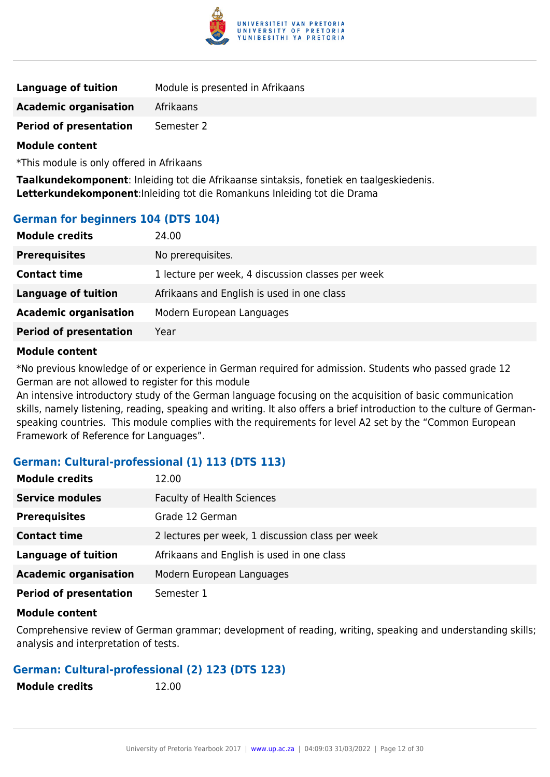

| <b>Language of tuition</b>    | Module is presented in Afrikaans |
|-------------------------------|----------------------------------|
| <b>Academic organisation</b>  | Afrikaans                        |
| <b>Period of presentation</b> | Semester 2                       |

\*This module is only offered in Afrikaans

**Taalkundekomponent**: Inleiding tot die Afrikaanse sintaksis, fonetiek en taalgeskiedenis. **Letterkundekomponent**:Inleiding tot die Romankuns Inleiding tot die Drama

#### **German for beginners 104 (DTS 104)**

| <b>Module credits</b>         | 24.00                                             |
|-------------------------------|---------------------------------------------------|
| <b>Prerequisites</b>          | No prerequisites.                                 |
| <b>Contact time</b>           | 1 lecture per week, 4 discussion classes per week |
| <b>Language of tuition</b>    | Afrikaans and English is used in one class        |
| <b>Academic organisation</b>  | Modern European Languages                         |
| <b>Period of presentation</b> | Year                                              |
|                               |                                                   |

#### **Module content**

\*No previous knowledge of or experience in German required for admission. Students who passed grade 12 German are not allowed to register for this module

An intensive introductory study of the German language focusing on the acquisition of basic communication skills, namely listening, reading, speaking and writing. It also offers a brief introduction to the culture of Germanspeaking countries. This module complies with the requirements for level A2 set by the "Common European Framework of Reference for Languages".

#### **German: Cultural-professional (1) 113 (DTS 113)**

| <b>Module credits</b>         | 12.00                                            |
|-------------------------------|--------------------------------------------------|
| <b>Service modules</b>        | <b>Faculty of Health Sciences</b>                |
| <b>Prerequisites</b>          | Grade 12 German                                  |
| <b>Contact time</b>           | 2 lectures per week, 1 discussion class per week |
| <b>Language of tuition</b>    | Afrikaans and English is used in one class       |
| <b>Academic organisation</b>  | Modern European Languages                        |
| <b>Period of presentation</b> | Semester 1                                       |

#### **Module content**

Comprehensive review of German grammar; development of reading, writing, speaking and understanding skills; analysis and interpretation of tests.

#### **German: Cultural-professional (2) 123 (DTS 123)**

**Module credits** 12.00

University of Pretoria Yearbook 2017 | [www.up.ac.za](https://www.up.ac.za/yearbooks/home) | 04:09:03 31/03/2022 | Page 12 of 30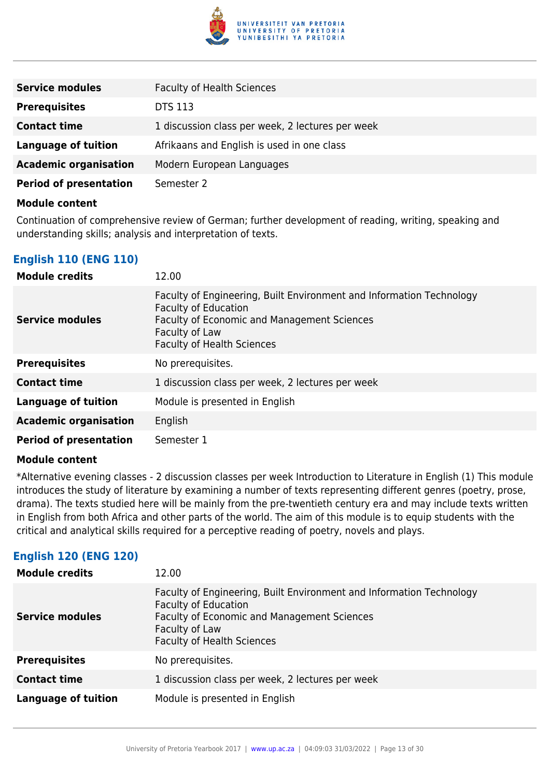

| <b>Service modules</b>        | <b>Faculty of Health Sciences</b>                |
|-------------------------------|--------------------------------------------------|
| <b>Prerequisites</b>          | <b>DTS 113</b>                                   |
| <b>Contact time</b>           | 1 discussion class per week, 2 lectures per week |
| <b>Language of tuition</b>    | Afrikaans and English is used in one class       |
| <b>Academic organisation</b>  | Modern European Languages                        |
| <b>Period of presentation</b> | Semester 2                                       |

Continuation of comprehensive review of German; further development of reading, writing, speaking and understanding skills; analysis and interpretation of texts.

# **English 110 (ENG 110)**

| <b>Module credits</b>         | 12.00                                                                                                                                                                                                     |
|-------------------------------|-----------------------------------------------------------------------------------------------------------------------------------------------------------------------------------------------------------|
| <b>Service modules</b>        | Faculty of Engineering, Built Environment and Information Technology<br><b>Faculty of Education</b><br>Faculty of Economic and Management Sciences<br>Faculty of Law<br><b>Faculty of Health Sciences</b> |
| <b>Prerequisites</b>          | No prerequisites.                                                                                                                                                                                         |
| <b>Contact time</b>           | 1 discussion class per week, 2 lectures per week                                                                                                                                                          |
| <b>Language of tuition</b>    | Module is presented in English                                                                                                                                                                            |
| <b>Academic organisation</b>  | English                                                                                                                                                                                                   |
| <b>Period of presentation</b> | Semester 1                                                                                                                                                                                                |

#### **Module content**

\*Alternative evening classes - 2 discussion classes per week Introduction to Literature in English (1) This module introduces the study of literature by examining a number of texts representing different genres (poetry, prose, drama). The texts studied here will be mainly from the pre-twentieth century era and may include texts written in English from both Africa and other parts of the world. The aim of this module is to equip students with the critical and analytical skills required for a perceptive reading of poetry, novels and plays.

# **English 120 (ENG 120)**

| <b>Module credits</b>      | 12.00                                                                                                                                                                                                     |
|----------------------------|-----------------------------------------------------------------------------------------------------------------------------------------------------------------------------------------------------------|
| <b>Service modules</b>     | Faculty of Engineering, Built Environment and Information Technology<br><b>Faculty of Education</b><br>Faculty of Economic and Management Sciences<br>Faculty of Law<br><b>Faculty of Health Sciences</b> |
| <b>Prerequisites</b>       | No prerequisites.                                                                                                                                                                                         |
| <b>Contact time</b>        | 1 discussion class per week, 2 lectures per week                                                                                                                                                          |
| <b>Language of tuition</b> | Module is presented in English                                                                                                                                                                            |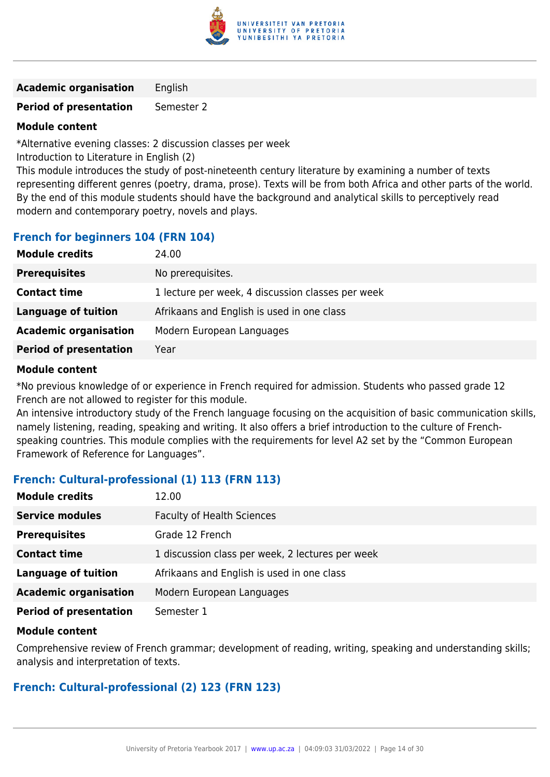

**Academic organisation** English

**Period of presentation** Semester 2

# **Module content**

\*Alternative evening classes: 2 discussion classes per week

Introduction to Literature in English (2)

This module introduces the study of post-nineteenth century literature by examining a number of texts representing different genres (poetry, drama, prose). Texts will be from both Africa and other parts of the world. By the end of this module students should have the background and analytical skills to perceptively read modern and contemporary poetry, novels and plays.

# **French for beginners 104 (FRN 104)**

| <b>Module credits</b>         | 24.00                                             |
|-------------------------------|---------------------------------------------------|
| <b>Prerequisites</b>          | No prerequisites.                                 |
| <b>Contact time</b>           | 1 lecture per week, 4 discussion classes per week |
| <b>Language of tuition</b>    | Afrikaans and English is used in one class        |
| <b>Academic organisation</b>  | Modern European Languages                         |
| <b>Period of presentation</b> | Year                                              |

#### **Module content**

\*No previous knowledge of or experience in French required for admission. Students who passed grade 12 French are not allowed to register for this module.

An intensive introductory study of the French language focusing on the acquisition of basic communication skills, namely listening, reading, speaking and writing. It also offers a brief introduction to the culture of Frenchspeaking countries. This module complies with the requirements for level A2 set by the "Common European Framework of Reference for Languages".

# **French: Cultural-professional (1) 113 (FRN 113)**

| <b>Module credits</b>         | 12.00                                            |
|-------------------------------|--------------------------------------------------|
| <b>Service modules</b>        | <b>Faculty of Health Sciences</b>                |
| <b>Prerequisites</b>          | Grade 12 French                                  |
| <b>Contact time</b>           | 1 discussion class per week, 2 lectures per week |
| <b>Language of tuition</b>    | Afrikaans and English is used in one class       |
| <b>Academic organisation</b>  | Modern European Languages                        |
| <b>Period of presentation</b> | Semester 1                                       |

#### **Module content**

Comprehensive review of French grammar; development of reading, writing, speaking and understanding skills; analysis and interpretation of texts.

# **French: Cultural-professional (2) 123 (FRN 123)**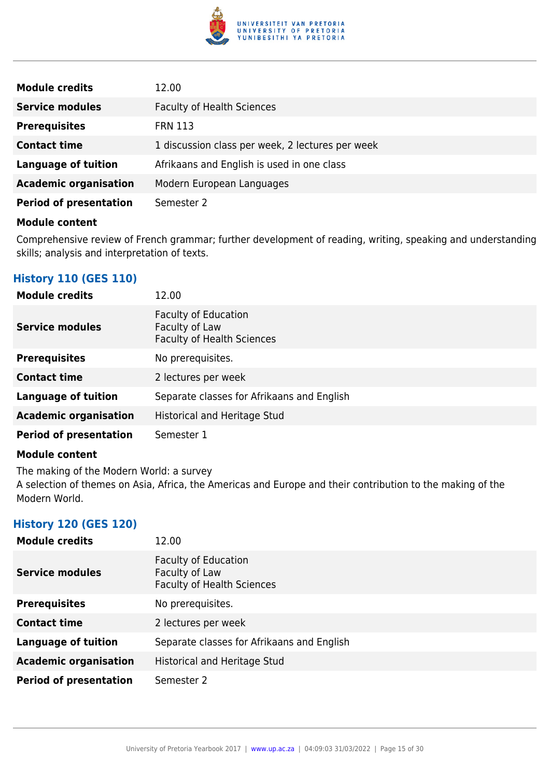

| <b>Module credits</b>         | 12.00                                            |
|-------------------------------|--------------------------------------------------|
| <b>Service modules</b>        | <b>Faculty of Health Sciences</b>                |
| <b>Prerequisites</b>          | <b>FRN 113</b>                                   |
| <b>Contact time</b>           | 1 discussion class per week, 2 lectures per week |
| <b>Language of tuition</b>    | Afrikaans and English is used in one class       |
| <b>Academic organisation</b>  | Modern European Languages                        |
| <b>Period of presentation</b> | Semester 2                                       |

Comprehensive review of French grammar; further development of reading, writing, speaking and understanding skills; analysis and interpretation of texts.

# **History 110 (GES 110)**

| <b>Module credits</b>         | 12.00                                                                              |
|-------------------------------|------------------------------------------------------------------------------------|
| <b>Service modules</b>        | <b>Faculty of Education</b><br>Faculty of Law<br><b>Faculty of Health Sciences</b> |
| <b>Prerequisites</b>          | No prerequisites.                                                                  |
| <b>Contact time</b>           | 2 lectures per week                                                                |
| <b>Language of tuition</b>    | Separate classes for Afrikaans and English                                         |
| <b>Academic organisation</b>  | Historical and Heritage Stud                                                       |
| <b>Period of presentation</b> | Semester 1                                                                         |

#### **Module content**

The making of the Modern World: a survey A selection of themes on Asia, Africa, the Americas and Europe and their contribution to the making of the Modern World.

# **History 120 (GES 120)**

| <b>Module credits</b>         | 12.00                                                                              |
|-------------------------------|------------------------------------------------------------------------------------|
| <b>Service modules</b>        | <b>Faculty of Education</b><br>Faculty of Law<br><b>Faculty of Health Sciences</b> |
| <b>Prerequisites</b>          | No prerequisites.                                                                  |
| <b>Contact time</b>           | 2 lectures per week                                                                |
| <b>Language of tuition</b>    | Separate classes for Afrikaans and English                                         |
| <b>Academic organisation</b>  | Historical and Heritage Stud                                                       |
| <b>Period of presentation</b> | Semester 2                                                                         |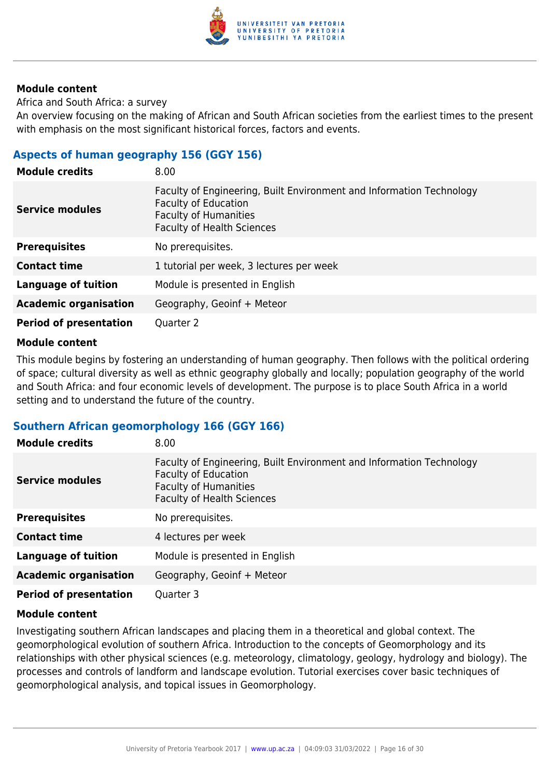

Africa and South Africa: a survey

An overview focusing on the making of African and South African societies from the earliest times to the present with emphasis on the most significant historical forces, factors and events.

# **Aspects of human geography 156 (GGY 156)**

| <b>Module credits</b>         | 8.00                                                                                                                                                                     |
|-------------------------------|--------------------------------------------------------------------------------------------------------------------------------------------------------------------------|
| Service modules               | Faculty of Engineering, Built Environment and Information Technology<br><b>Faculty of Education</b><br><b>Faculty of Humanities</b><br><b>Faculty of Health Sciences</b> |
| <b>Prerequisites</b>          | No prerequisites.                                                                                                                                                        |
| <b>Contact time</b>           | 1 tutorial per week, 3 lectures per week                                                                                                                                 |
| <b>Language of tuition</b>    | Module is presented in English                                                                                                                                           |
| <b>Academic organisation</b>  | Geography, Geoinf + Meteor                                                                                                                                               |
| <b>Period of presentation</b> | Quarter 2                                                                                                                                                                |

#### **Module content**

This module begins by fostering an understanding of human geography. Then follows with the political ordering of space; cultural diversity as well as ethnic geography globally and locally; population geography of the world and South Africa: and four economic levels of development. The purpose is to place South Africa in a world setting and to understand the future of the country.

#### **Southern African geomorphology 166 (GGY 166)**

| <b>Module credits</b>         | 8.00                                                                                                                                                                     |
|-------------------------------|--------------------------------------------------------------------------------------------------------------------------------------------------------------------------|
| <b>Service modules</b>        | Faculty of Engineering, Built Environment and Information Technology<br><b>Faculty of Education</b><br><b>Faculty of Humanities</b><br><b>Faculty of Health Sciences</b> |
| <b>Prerequisites</b>          | No prerequisites.                                                                                                                                                        |
| <b>Contact time</b>           | 4 lectures per week                                                                                                                                                      |
| <b>Language of tuition</b>    | Module is presented in English                                                                                                                                           |
| <b>Academic organisation</b>  | Geography, Geoinf + Meteor                                                                                                                                               |
| <b>Period of presentation</b> | Quarter 3                                                                                                                                                                |

#### **Module content**

Investigating southern African landscapes and placing them in a theoretical and global context. The geomorphological evolution of southern Africa. Introduction to the concepts of Geomorphology and its relationships with other physical sciences (e.g. meteorology, climatology, geology, hydrology and biology). The processes and controls of landform and landscape evolution. Tutorial exercises cover basic techniques of geomorphological analysis, and topical issues in Geomorphology.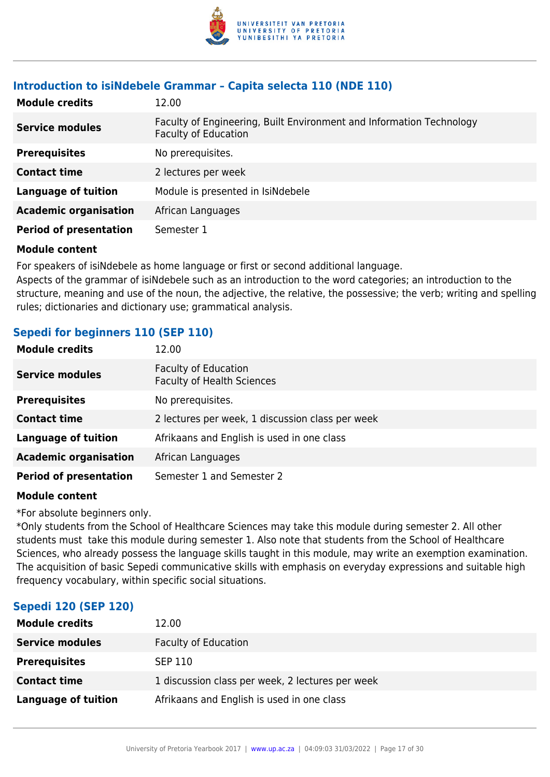

# **Introduction to isiNdebele Grammar – Capita selecta 110 (NDE 110)**

| <b>Module credits</b>         | 12.00                                                                                               |
|-------------------------------|-----------------------------------------------------------------------------------------------------|
| <b>Service modules</b>        | Faculty of Engineering, Built Environment and Information Technology<br><b>Faculty of Education</b> |
| <b>Prerequisites</b>          | No prerequisites.                                                                                   |
| <b>Contact time</b>           | 2 lectures per week                                                                                 |
| <b>Language of tuition</b>    | Module is presented in IsiNdebele                                                                   |
| <b>Academic organisation</b>  | African Languages                                                                                   |
| <b>Period of presentation</b> | Semester 1                                                                                          |

#### **Module content**

For speakers of isiNdebele as home language or first or second additional language.

Aspects of the grammar of isiNdebele such as an introduction to the word categories; an introduction to the structure, meaning and use of the noun, the adjective, the relative, the possessive; the verb; writing and spelling rules; dictionaries and dictionary use; grammatical analysis.

#### **Sepedi for beginners 110 (SEP 110)**

| <b>Module credits</b>         | 12.00                                                            |
|-------------------------------|------------------------------------------------------------------|
| <b>Service modules</b>        | <b>Faculty of Education</b><br><b>Faculty of Health Sciences</b> |
| <b>Prerequisites</b>          | No prerequisites.                                                |
| <b>Contact time</b>           | 2 lectures per week, 1 discussion class per week                 |
| <b>Language of tuition</b>    | Afrikaans and English is used in one class                       |
| <b>Academic organisation</b>  | African Languages                                                |
| <b>Period of presentation</b> | Semester 1 and Semester 2                                        |

#### **Module content**

\*For absolute beginners only.

\*Only students from the School of Healthcare Sciences may take this module during semester 2. All other students must take this module during semester 1. Also note that students from the School of Healthcare Sciences, who already possess the language skills taught in this module, may write an exemption examination. The acquisition of basic Sepedi communicative skills with emphasis on everyday expressions and suitable high frequency vocabulary, within specific social situations.

#### **Sepedi 120 (SEP 120)**

| <b>Module credits</b>  | 12.00                                            |
|------------------------|--------------------------------------------------|
| <b>Service modules</b> | <b>Faculty of Education</b>                      |
| <b>Prerequisites</b>   | <b>SEP 110</b>                                   |
| <b>Contact time</b>    | 1 discussion class per week, 2 lectures per week |
| Language of tuition    | Afrikaans and English is used in one class       |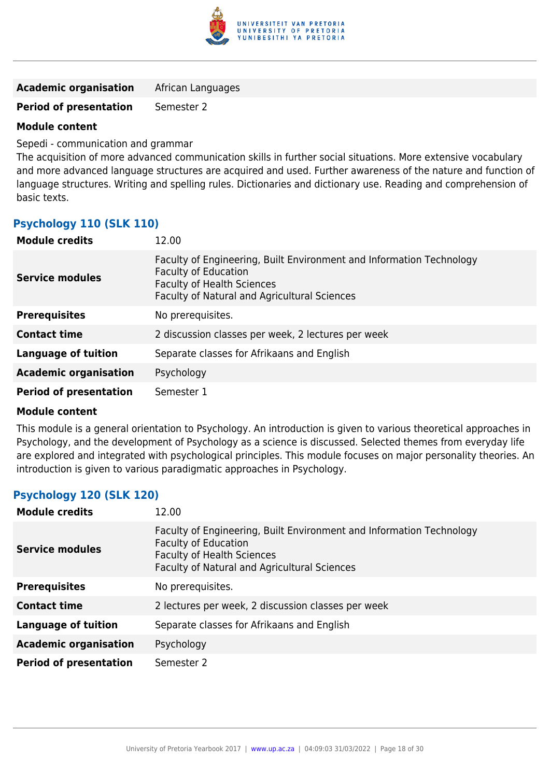

**Period of presentation** Semester 2

#### **Module content**

Sepedi - communication and grammar

The acquisition of more advanced communication skills in further social situations. More extensive vocabulary and more advanced language structures are acquired and used. Further awareness of the nature and function of language structures. Writing and spelling rules. Dictionaries and dictionary use. Reading and comprehension of basic texts.

# **Psychology 110 (SLK 110)**

| <b>Module credits</b>         | 12.00                                                                                                                                                                                           |
|-------------------------------|-------------------------------------------------------------------------------------------------------------------------------------------------------------------------------------------------|
| <b>Service modules</b>        | Faculty of Engineering, Built Environment and Information Technology<br><b>Faculty of Education</b><br><b>Faculty of Health Sciences</b><br><b>Faculty of Natural and Agricultural Sciences</b> |
| <b>Prerequisites</b>          | No prerequisites.                                                                                                                                                                               |
| <b>Contact time</b>           | 2 discussion classes per week, 2 lectures per week                                                                                                                                              |
| <b>Language of tuition</b>    | Separate classes for Afrikaans and English                                                                                                                                                      |
| <b>Academic organisation</b>  | Psychology                                                                                                                                                                                      |
| <b>Period of presentation</b> | Semester 1                                                                                                                                                                                      |

#### **Module content**

This module is a general orientation to Psychology. An introduction is given to various theoretical approaches in Psychology, and the development of Psychology as a science is discussed. Selected themes from everyday life are explored and integrated with psychological principles. This module focuses on major personality theories. An introduction is given to various paradigmatic approaches in Psychology.

# **Psychology 120 (SLK 120)**

| <b>Module credits</b>         | 12.00                                                                                                                                                                                    |
|-------------------------------|------------------------------------------------------------------------------------------------------------------------------------------------------------------------------------------|
| <b>Service modules</b>        | Faculty of Engineering, Built Environment and Information Technology<br>Faculty of Education<br><b>Faculty of Health Sciences</b><br><b>Faculty of Natural and Agricultural Sciences</b> |
| <b>Prerequisites</b>          | No prerequisites.                                                                                                                                                                        |
| <b>Contact time</b>           | 2 lectures per week, 2 discussion classes per week                                                                                                                                       |
| <b>Language of tuition</b>    | Separate classes for Afrikaans and English                                                                                                                                               |
| <b>Academic organisation</b>  | Psychology                                                                                                                                                                               |
| <b>Period of presentation</b> | Semester 2                                                                                                                                                                               |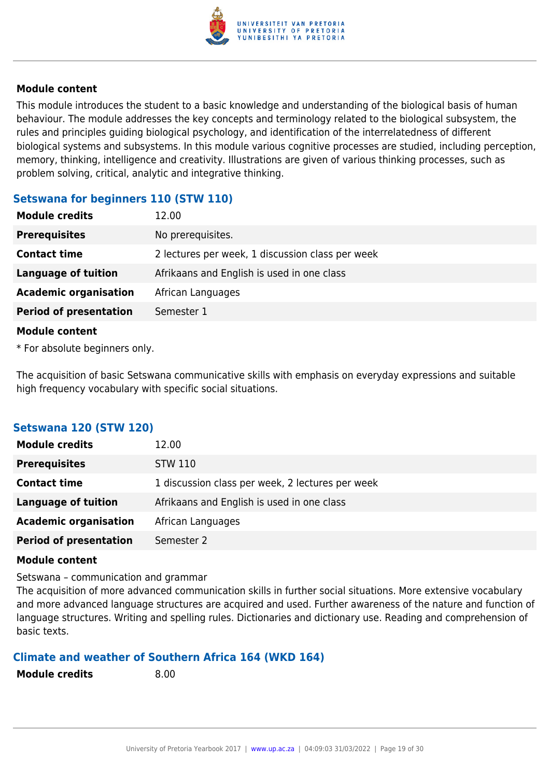

This module introduces the student to a basic knowledge and understanding of the biological basis of human behaviour. The module addresses the key concepts and terminology related to the biological subsystem, the rules and principles guiding biological psychology, and identification of the interrelatedness of different biological systems and subsystems. In this module various cognitive processes are studied, including perception, memory, thinking, intelligence and creativity. Illustrations are given of various thinking processes, such as problem solving, critical, analytic and integrative thinking.

# **Setswana for beginners 110 (STW 110)**

| <b>Module credits</b>         | 12.00                                            |
|-------------------------------|--------------------------------------------------|
| <b>Prerequisites</b>          | No prerequisites.                                |
| <b>Contact time</b>           | 2 lectures per week, 1 discussion class per week |
| <b>Language of tuition</b>    | Afrikaans and English is used in one class       |
| <b>Academic organisation</b>  | African Languages                                |
| <b>Period of presentation</b> | Semester 1                                       |
| <b>Module content</b>         |                                                  |

\* For absolute beginners only.

The acquisition of basic Setswana communicative skills with emphasis on everyday expressions and suitable high frequency vocabulary with specific social situations.

# **Setswana 120 (STW 120)**

| <b>Module credits</b>         | 12.00                                            |
|-------------------------------|--------------------------------------------------|
| <b>Prerequisites</b>          | <b>STW 110</b>                                   |
| <b>Contact time</b>           | 1 discussion class per week, 2 lectures per week |
| <b>Language of tuition</b>    | Afrikaans and English is used in one class       |
| <b>Academic organisation</b>  | African Languages                                |
| <b>Period of presentation</b> | Semester 2                                       |

#### **Module content**

Setswana – communication and grammar

The acquisition of more advanced communication skills in further social situations. More extensive vocabulary and more advanced language structures are acquired and used. Further awareness of the nature and function of language structures. Writing and spelling rules. Dictionaries and dictionary use. Reading and comprehension of basic texts.

#### **Climate and weather of Southern Africa 164 (WKD 164)**

**Module credits** 8.00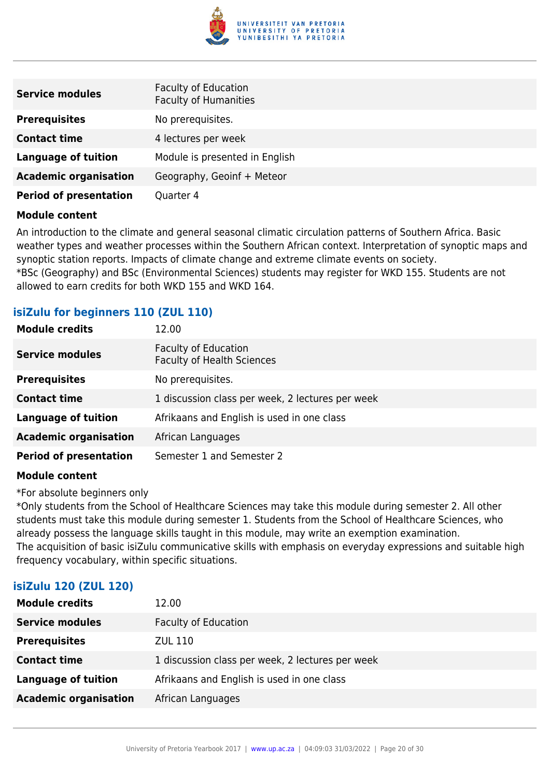

| <b>Service modules</b>        | <b>Faculty of Education</b><br><b>Faculty of Humanities</b> |
|-------------------------------|-------------------------------------------------------------|
| <b>Prerequisites</b>          | No prerequisites.                                           |
| <b>Contact time</b>           | 4 lectures per week                                         |
| <b>Language of tuition</b>    | Module is presented in English                              |
| <b>Academic organisation</b>  | Geography, Geoinf + Meteor                                  |
| <b>Period of presentation</b> | Quarter 4                                                   |

An introduction to the climate and general seasonal climatic circulation patterns of Southern Africa. Basic weather types and weather processes within the Southern African context. Interpretation of synoptic maps and synoptic station reports. Impacts of climate change and extreme climate events on society. \*BSc (Geography) and BSc (Environmental Sciences) students may register for WKD 155. Students are not allowed to earn credits for both WKD 155 and WKD 164.

# **isiZulu for beginners 110 (ZUL 110)**

| <b>Module credits</b>         | 12.00                                                            |
|-------------------------------|------------------------------------------------------------------|
| <b>Service modules</b>        | <b>Faculty of Education</b><br><b>Faculty of Health Sciences</b> |
| <b>Prerequisites</b>          | No prerequisites.                                                |
| <b>Contact time</b>           | 1 discussion class per week, 2 lectures per week                 |
| <b>Language of tuition</b>    | Afrikaans and English is used in one class                       |
| <b>Academic organisation</b>  | African Languages                                                |
| <b>Period of presentation</b> | Semester 1 and Semester 2                                        |

#### **Module content**

\*For absolute beginners only

\*Only students from the School of Healthcare Sciences may take this module during semester 2. All other students must take this module during semester 1. Students from the School of Healthcare Sciences, who already possess the language skills taught in this module, may write an exemption examination. The acquisition of basic isiZulu communicative skills with emphasis on everyday expressions and suitable high frequency vocabulary, within specific situations.

#### **isiZulu 120 (ZUL 120)**

| <b>Module credits</b>        | 12.00                                            |
|------------------------------|--------------------------------------------------|
| <b>Service modules</b>       | <b>Faculty of Education</b>                      |
| <b>Prerequisites</b>         | ZUL 110                                          |
| <b>Contact time</b>          | 1 discussion class per week, 2 lectures per week |
| Language of tuition          | Afrikaans and English is used in one class       |
| <b>Academic organisation</b> | African Languages                                |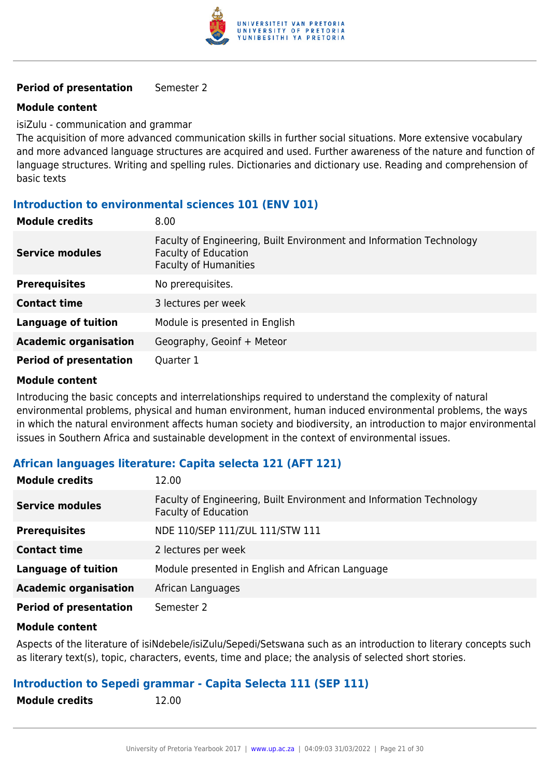

#### **Period of presentation** Semester 2

#### **Module content**

isiZulu - communication and grammar

The acquisition of more advanced communication skills in further social situations. More extensive vocabulary and more advanced language structures are acquired and used. Further awareness of the nature and function of language structures. Writing and spelling rules. Dictionaries and dictionary use. Reading and comprehension of basic texts

# **Introduction to environmental sciences 101 (ENV 101)**

| <b>Module credits</b>         | 8.00                                                                                                                                |
|-------------------------------|-------------------------------------------------------------------------------------------------------------------------------------|
| <b>Service modules</b>        | Faculty of Engineering, Built Environment and Information Technology<br><b>Faculty of Education</b><br><b>Faculty of Humanities</b> |
| <b>Prerequisites</b>          | No prerequisites.                                                                                                                   |
| <b>Contact time</b>           | 3 lectures per week                                                                                                                 |
| <b>Language of tuition</b>    | Module is presented in English                                                                                                      |
| <b>Academic organisation</b>  | Geography, Geoinf + Meteor                                                                                                          |
| <b>Period of presentation</b> | Quarter 1                                                                                                                           |

#### **Module content**

Introducing the basic concepts and interrelationships required to understand the complexity of natural environmental problems, physical and human environment, human induced environmental problems, the ways in which the natural environment affects human society and biodiversity, an introduction to major environmental issues in Southern Africa and sustainable development in the context of environmental issues.

#### **African languages literature: Capita selecta 121 (AFT 121)**

| <b>Module credits</b>         | 12.00                                                                                               |
|-------------------------------|-----------------------------------------------------------------------------------------------------|
| <b>Service modules</b>        | Faculty of Engineering, Built Environment and Information Technology<br><b>Faculty of Education</b> |
| <b>Prerequisites</b>          | NDE 110/SEP 111/ZUL 111/STW 111                                                                     |
| <b>Contact time</b>           | 2 lectures per week                                                                                 |
| <b>Language of tuition</b>    | Module presented in English and African Language                                                    |
| <b>Academic organisation</b>  | African Languages                                                                                   |
| <b>Period of presentation</b> | Semester 2                                                                                          |

#### **Module content**

Aspects of the literature of isiNdebele/isiZulu/Sepedi/Setswana such as an introduction to literary concepts such as literary text(s), topic, characters, events, time and place; the analysis of selected short stories.

#### **Introduction to Sepedi grammar - Capita Selecta 111 (SEP 111)**

**Module credits** 12.00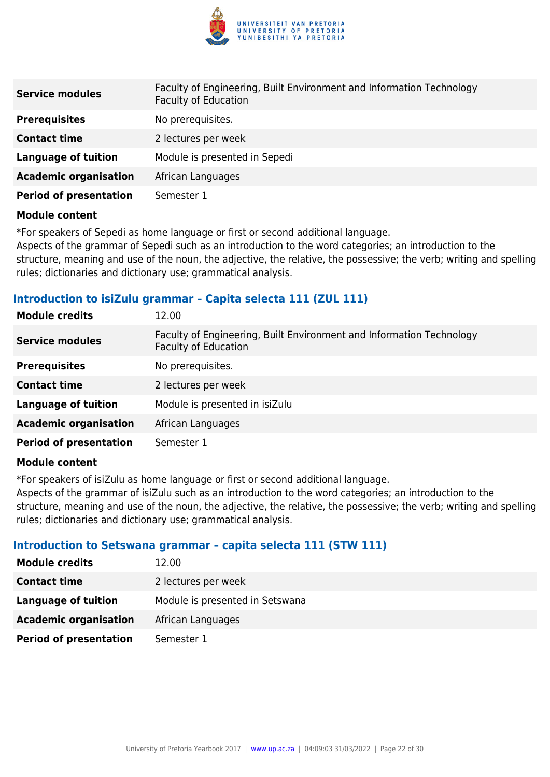

| <b>Service modules</b>        | Faculty of Engineering, Built Environment and Information Technology<br><b>Faculty of Education</b> |
|-------------------------------|-----------------------------------------------------------------------------------------------------|
| <b>Prerequisites</b>          | No prerequisites.                                                                                   |
| <b>Contact time</b>           | 2 lectures per week                                                                                 |
| <b>Language of tuition</b>    | Module is presented in Sepedi                                                                       |
| <b>Academic organisation</b>  | African Languages                                                                                   |
| <b>Period of presentation</b> | Semester 1                                                                                          |

\*For speakers of Sepedi as home language or first or second additional language.

Aspects of the grammar of Sepedi such as an introduction to the word categories; an introduction to the structure, meaning and use of the noun, the adjective, the relative, the possessive; the verb; writing and spelling rules; dictionaries and dictionary use; grammatical analysis.

#### **Introduction to isiZulu grammar – Capita selecta 111 (ZUL 111)**

| <b>Module credits</b>         | 12.00                                                                                               |
|-------------------------------|-----------------------------------------------------------------------------------------------------|
| <b>Service modules</b>        | Faculty of Engineering, Built Environment and Information Technology<br><b>Faculty of Education</b> |
| <b>Prerequisites</b>          | No prerequisites.                                                                                   |
| <b>Contact time</b>           | 2 lectures per week                                                                                 |
| <b>Language of tuition</b>    | Module is presented in isiZulu                                                                      |
| <b>Academic organisation</b>  | African Languages                                                                                   |
| <b>Period of presentation</b> | Semester 1                                                                                          |

#### **Module content**

\*For speakers of isiZulu as home language or first or second additional language.

Aspects of the grammar of isiZulu such as an introduction to the word categories; an introduction to the structure, meaning and use of the noun, the adjective, the relative, the possessive; the verb; writing and spelling rules; dictionaries and dictionary use; grammatical analysis.

#### **Introduction to Setswana grammar – capita selecta 111 (STW 111)**

| <b>Module credits</b>         | 12.00                           |
|-------------------------------|---------------------------------|
| <b>Contact time</b>           | 2 lectures per week             |
| Language of tuition           | Module is presented in Setswana |
| <b>Academic organisation</b>  | African Languages               |
| <b>Period of presentation</b> | Semester 1                      |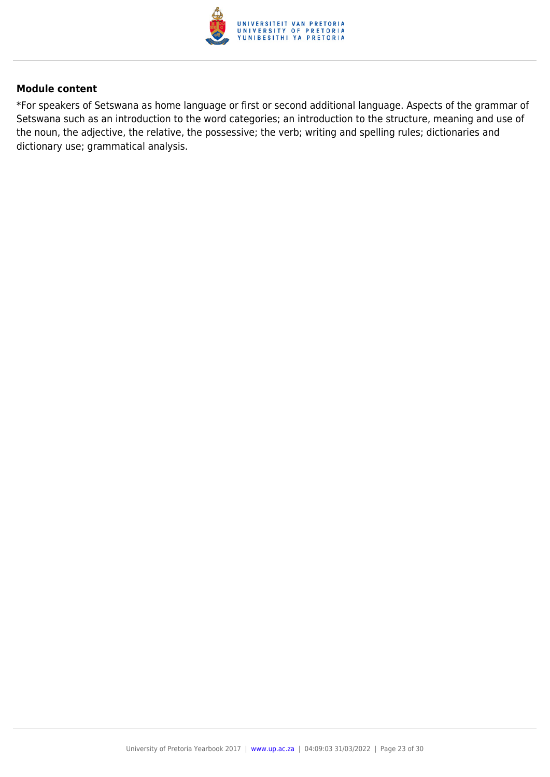

\*For speakers of Setswana as home language or first or second additional language. Aspects of the grammar of Setswana such as an introduction to the word categories; an introduction to the structure, meaning and use of the noun, the adjective, the relative, the possessive; the verb; writing and spelling rules; dictionaries and dictionary use; grammatical analysis.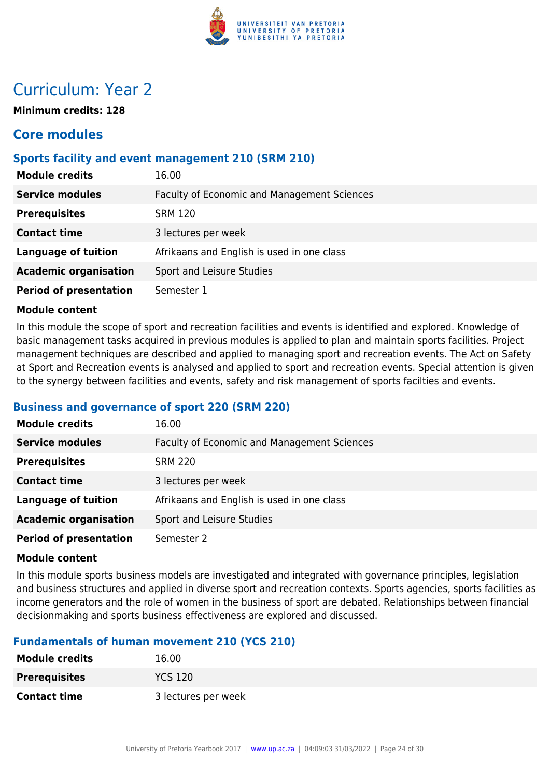

# Curriculum: Year 2

**Minimum credits: 128**

# **Core modules**

# **Sports facility and event management 210 (SRM 210)**

| <b>Module credits</b>         | 16.00                                       |
|-------------------------------|---------------------------------------------|
| <b>Service modules</b>        | Faculty of Economic and Management Sciences |
| <b>Prerequisites</b>          | <b>SRM 120</b>                              |
| <b>Contact time</b>           | 3 lectures per week                         |
| <b>Language of tuition</b>    | Afrikaans and English is used in one class  |
| <b>Academic organisation</b>  | Sport and Leisure Studies                   |
| <b>Period of presentation</b> | Semester 1                                  |

#### **Module content**

In this module the scope of sport and recreation facilities and events is identified and explored. Knowledge of basic management tasks acquired in previous modules is applied to plan and maintain sports facilities. Project management techniques are described and applied to managing sport and recreation events. The Act on Safety at Sport and Recreation events is analysed and applied to sport and recreation events. Special attention is given to the synergy between facilities and events, safety and risk management of sports facilties and events.

#### **Business and governance of sport 220 (SRM 220)**

| <b>Module credits</b>         | 16.00                                       |
|-------------------------------|---------------------------------------------|
| <b>Service modules</b>        | Faculty of Economic and Management Sciences |
| <b>Prerequisites</b>          | <b>SRM 220</b>                              |
| <b>Contact time</b>           | 3 lectures per week                         |
| <b>Language of tuition</b>    | Afrikaans and English is used in one class  |
| <b>Academic organisation</b>  | Sport and Leisure Studies                   |
| <b>Period of presentation</b> | Semester 2                                  |

#### **Module content**

In this module sports business models are investigated and integrated with governance principles, legislation and business structures and applied in diverse sport and recreation contexts. Sports agencies, sports facilities as income generators and the role of women in the business of sport are debated. Relationships between financial decisionmaking and sports business effectiveness are explored and discussed.

# **Fundamentals of human movement 210 (YCS 210)**

| <b>Module credits</b> | 16.00               |
|-----------------------|---------------------|
| <b>Prerequisites</b>  | <b>YCS 120</b>      |
| <b>Contact time</b>   | 3 lectures per week |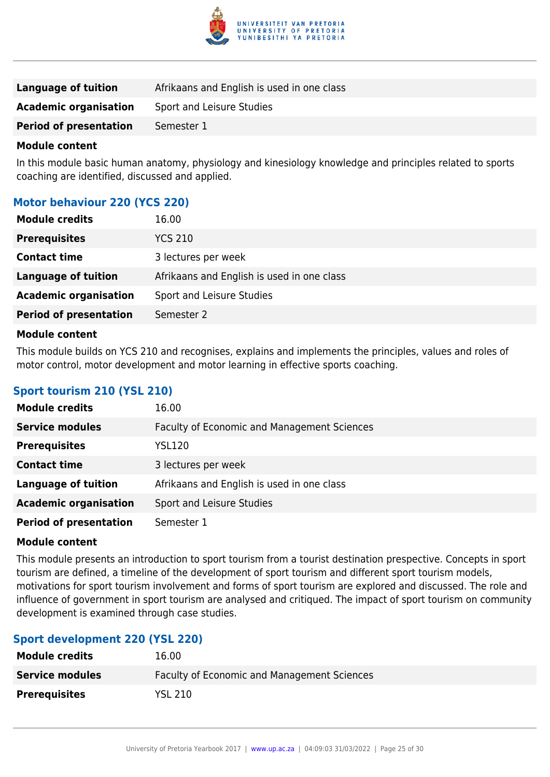

| <b>Language of tuition</b>    | Afrikaans and English is used in one class |
|-------------------------------|--------------------------------------------|
| <b>Academic organisation</b>  | Sport and Leisure Studies                  |
| <b>Period of presentation</b> | Semester 1                                 |

In this module basic human anatomy, physiology and kinesiology knowledge and principles related to sports coaching are identified, discussed and applied.

# **Motor behaviour 220 (YCS 220)**

| <b>Module credits</b>         | 16.00                                      |
|-------------------------------|--------------------------------------------|
| <b>Prerequisites</b>          | <b>YCS 210</b>                             |
| <b>Contact time</b>           | 3 lectures per week                        |
| <b>Language of tuition</b>    | Afrikaans and English is used in one class |
| <b>Academic organisation</b>  | Sport and Leisure Studies                  |
| <b>Period of presentation</b> | Semester 2                                 |
| Madula cantant                |                                            |

#### **Module content**

This module builds on YCS 210 and recognises, explains and implements the principles, values and roles of motor control, motor development and motor learning in effective sports coaching.

# **Sport tourism 210 (YSL 210)**

| <b>Module credits</b>         | 16.00                                              |
|-------------------------------|----------------------------------------------------|
| <b>Service modules</b>        | <b>Faculty of Economic and Management Sciences</b> |
| <b>Prerequisites</b>          | <b>YSL120</b>                                      |
| <b>Contact time</b>           | 3 lectures per week                                |
| <b>Language of tuition</b>    | Afrikaans and English is used in one class         |
| <b>Academic organisation</b>  | Sport and Leisure Studies                          |
| <b>Period of presentation</b> | Semester 1                                         |

#### **Module content**

This module presents an introduction to sport tourism from a tourist destination prespective. Concepts in sport tourism are defined, a timeline of the development of sport tourism and different sport tourism models, motivations for sport tourism involvement and forms of sport tourism are explored and discussed. The role and influence of government in sport tourism are analysed and critiqued. The impact of sport tourism on community development is examined through case studies.

# **Sport development 220 (YSL 220)**

| <b>Module credits</b>  | 16.00                                       |
|------------------------|---------------------------------------------|
| <b>Service modules</b> | Faculty of Economic and Management Sciences |
| <b>Prerequisites</b>   | YSL 210                                     |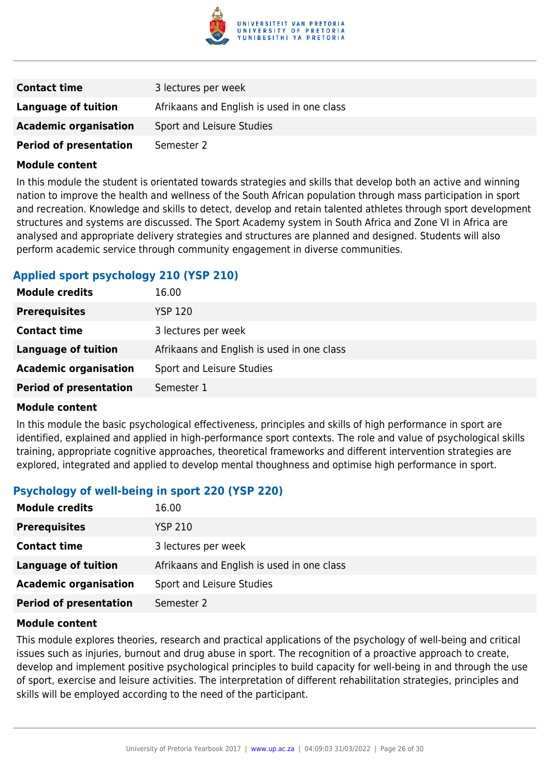

| <b>Contact time</b>           | 3 lectures per week                        |
|-------------------------------|--------------------------------------------|
| Language of tuition           | Afrikaans and English is used in one class |
| <b>Academic organisation</b>  | Sport and Leisure Studies                  |
| <b>Period of presentation</b> | Semester 2                                 |

In this module the student is orientated towards strategies and skills that develop both an active and winning nation to improve the health and wellness of the South African population through mass participation in sport and recreation. Knowledge and skills to detect, develop and retain talented athletes through sport development structures and systems are discussed. The Sport Academy system in South Africa and Zone VI in Africa are analysed and appropriate delivery strategies and structures are planned and designed. Students will also perform academic service through community engagement in diverse communities.

# **Applied sport psychology 210 (YSP 210)**

| <b>Module credits</b>         | 16.00                                      |
|-------------------------------|--------------------------------------------|
| <b>Prerequisites</b>          | <b>YSP 120</b>                             |
| <b>Contact time</b>           | 3 lectures per week                        |
| <b>Language of tuition</b>    | Afrikaans and English is used in one class |
| <b>Academic organisation</b>  | Sport and Leisure Studies                  |
| <b>Period of presentation</b> | Semester 1                                 |

#### **Module content**

In this module the basic psychological effectiveness, principles and skills of high performance in sport are identified, explained and applied in high-performance sport contexts. The role and value of psychological skills training, appropriate cognitive approaches, theoretical frameworks and different intervention strategies are explored, integrated and applied to develop mental thoughness and optimise high performance in sport.

# **Psychology of well-being in sport 220 (YSP 220)**

| <b>Module credits</b>         | 16.00                                      |
|-------------------------------|--------------------------------------------|
| <b>Prerequisites</b>          | <b>YSP 210</b>                             |
| <b>Contact time</b>           | 3 lectures per week                        |
| Language of tuition           | Afrikaans and English is used in one class |
| <b>Academic organisation</b>  | Sport and Leisure Studies                  |
| <b>Period of presentation</b> | Semester 2                                 |

#### **Module content**

This module explores theories, research and practical applications of the psychology of well-being and critical issues such as injuries, burnout and drug abuse in sport. The recognition of a proactive approach to create, develop and implement positive psychological principles to build capacity for well-being in and through the use of sport, exercise and leisure activities. The interpretation of different rehabilitation strategies, principles and skills will be employed according to the need of the participant.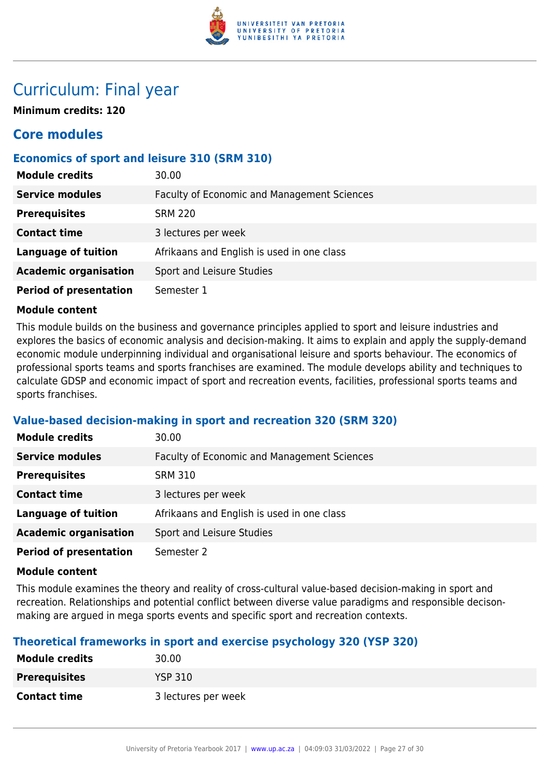

# Curriculum: Final year

**Minimum credits: 120**

# **Core modules**

# **Economics of sport and leisure 310 (SRM 310)**

| <b>Module credits</b>         | 30.00                                              |
|-------------------------------|----------------------------------------------------|
| <b>Service modules</b>        | <b>Faculty of Economic and Management Sciences</b> |
| <b>Prerequisites</b>          | <b>SRM 220</b>                                     |
| <b>Contact time</b>           | 3 lectures per week                                |
| <b>Language of tuition</b>    | Afrikaans and English is used in one class         |
| <b>Academic organisation</b>  | Sport and Leisure Studies                          |
| <b>Period of presentation</b> | Semester 1                                         |

#### **Module content**

This module builds on the business and governance principles applied to sport and leisure industries and explores the basics of economic analysis and decision-making. It aims to explain and apply the supply-demand economic module underpinning individual and organisational leisure and sports behaviour. The economics of professional sports teams and sports franchises are examined. The module develops ability and techniques to calculate GDSP and economic impact of sport and recreation events, facilities, professional sports teams and sports franchises.

#### **Value-based decision-making in sport and recreation 320 (SRM 320)**

| <b>Module credits</b>         | 30.00                                              |
|-------------------------------|----------------------------------------------------|
| <b>Service modules</b>        | <b>Faculty of Economic and Management Sciences</b> |
| <b>Prerequisites</b>          | <b>SRM 310</b>                                     |
| <b>Contact time</b>           | 3 lectures per week                                |
| <b>Language of tuition</b>    | Afrikaans and English is used in one class         |
| <b>Academic organisation</b>  | Sport and Leisure Studies                          |
| <b>Period of presentation</b> | Semester 2                                         |

#### **Module content**

This module examines the theory and reality of cross-cultural value-based decision-making in sport and recreation. Relationships and potential conflict between diverse value paradigms and responsible decisonmaking are argued in mega sports events and specific sport and recreation contexts.

#### **Theoretical frameworks in sport and exercise psychology 320 (YSP 320)**

| <b>Module credits</b> | 30.00               |
|-----------------------|---------------------|
| <b>Prerequisites</b>  | <b>YSP 310</b>      |
| <b>Contact time</b>   | 3 lectures per week |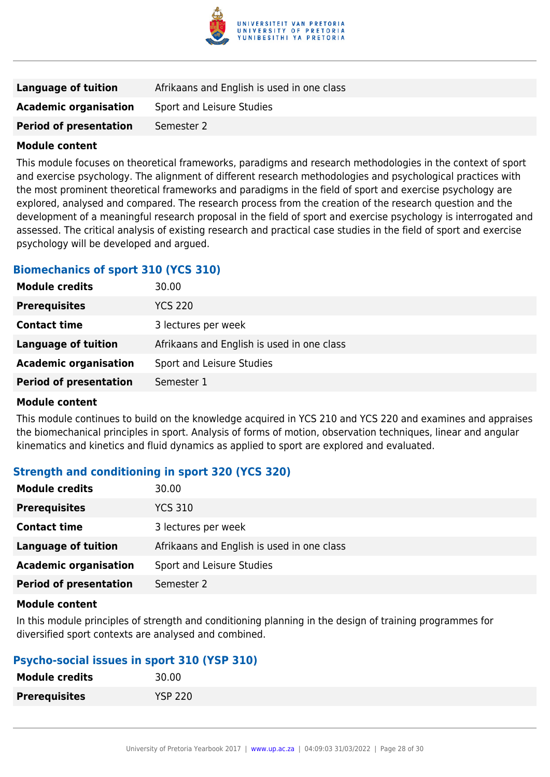

| Language of tuition           | Afrikaans and English is used in one class |
|-------------------------------|--------------------------------------------|
| <b>Academic organisation</b>  | Sport and Leisure Studies                  |
| <b>Period of presentation</b> | Semester 2                                 |

This module focuses on theoretical frameworks, paradigms and research methodologies in the context of sport and exercise psychology. The alignment of different research methodologies and psychological practices with the most prominent theoretical frameworks and paradigms in the field of sport and exercise psychology are explored, analysed and compared. The research process from the creation of the research question and the development of a meaningful research proposal in the field of sport and exercise psychology is interrogated and assessed. The critical analysis of existing research and practical case studies in the field of sport and exercise psychology will be developed and argued.

# **Biomechanics of sport 310 (YCS 310)**

| <b>Module credits</b>         | 30.00                                      |
|-------------------------------|--------------------------------------------|
| <b>Prerequisites</b>          | <b>YCS 220</b>                             |
| <b>Contact time</b>           | 3 lectures per week                        |
| <b>Language of tuition</b>    | Afrikaans and English is used in one class |
| <b>Academic organisation</b>  | Sport and Leisure Studies                  |
| <b>Period of presentation</b> | Semester 1                                 |
|                               |                                            |

#### **Module content**

This module continues to build on the knowledge acquired in YCS 210 and YCS 220 and examines and appraises the biomechanical principles in sport. Analysis of forms of motion, observation techniques, linear and angular kinematics and kinetics and fluid dynamics as applied to sport are explored and evaluated.

# **Strength and conditioning in sport 320 (YCS 320)**

| <b>Module credits</b>         | 30.00                                      |
|-------------------------------|--------------------------------------------|
| <b>Prerequisites</b>          | <b>YCS 310</b>                             |
| <b>Contact time</b>           | 3 lectures per week                        |
| <b>Language of tuition</b>    | Afrikaans and English is used in one class |
| <b>Academic organisation</b>  | Sport and Leisure Studies                  |
| <b>Period of presentation</b> | Semester 2                                 |

#### **Module content**

In this module principles of strength and conditioning planning in the design of training programmes for diversified sport contexts are analysed and combined.

# **Psycho-social issues in sport 310 (YSP 310)**

| <b>Module credits</b> | 30.00          |
|-----------------------|----------------|
| <b>Prerequisites</b>  | <b>YSP 220</b> |
|                       |                |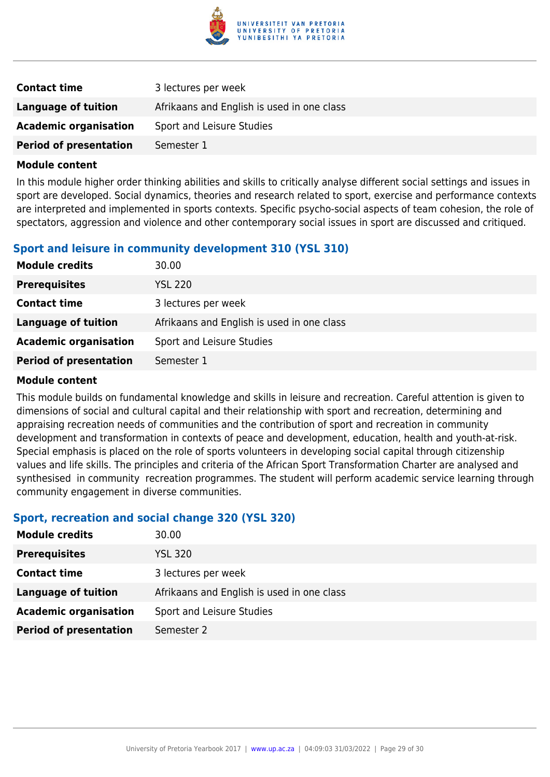

| <b>Contact time</b>           | 3 lectures per week                        |
|-------------------------------|--------------------------------------------|
| Language of tuition           | Afrikaans and English is used in one class |
| <b>Academic organisation</b>  | Sport and Leisure Studies                  |
| <b>Period of presentation</b> | Semester 1                                 |

In this module higher order thinking abilities and skills to critically analyse different social settings and issues in sport are developed. Social dynamics, theories and research related to sport, exercise and performance contexts are interpreted and implemented in sports contexts. Specific psycho-social aspects of team cohesion, the role of spectators, aggression and violence and other contemporary social issues in sport are discussed and critiqued.

# **Sport and leisure in community development 310 (YSL 310)**

| <b>Module credits</b>         | 30.00                                      |
|-------------------------------|--------------------------------------------|
| <b>Prerequisites</b>          | <b>YSL 220</b>                             |
| <b>Contact time</b>           | 3 lectures per week                        |
| <b>Language of tuition</b>    | Afrikaans and English is used in one class |
| <b>Academic organisation</b>  | Sport and Leisure Studies                  |
| <b>Period of presentation</b> | Semester 1                                 |

#### **Module content**

This module builds on fundamental knowledge and skills in leisure and recreation. Careful attention is given to dimensions of social and cultural capital and their relationship with sport and recreation, determining and appraising recreation needs of communities and the contribution of sport and recreation in community development and transformation in contexts of peace and development, education, health and youth-at-risk. Special emphasis is placed on the role of sports volunteers in developing social capital through citizenship values and life skills. The principles and criteria of the African Sport Transformation Charter are analysed and synthesised in community recreation programmes. The student will perform academic service learning through community engagement in diverse communities.

#### **Sport, recreation and social change 320 (YSL 320)**

| <b>Module credits</b>         | 30.00                                      |
|-------------------------------|--------------------------------------------|
| <b>Prerequisites</b>          | <b>YSL 320</b>                             |
| <b>Contact time</b>           | 3 lectures per week                        |
| <b>Language of tuition</b>    | Afrikaans and English is used in one class |
| <b>Academic organisation</b>  | Sport and Leisure Studies                  |
| <b>Period of presentation</b> | Semester 2                                 |